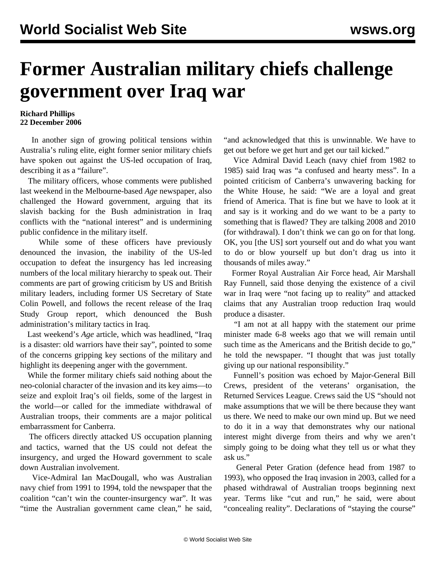## **Former Australian military chiefs challenge government over Iraq war**

## **Richard Phillips 22 December 2006**

 In another sign of growing political tensions within Australia's ruling elite, eight former senior military chiefs have spoken out against the US-led occupation of Iraq, describing it as a "failure".

 The military officers, whose comments were published last weekend in the Melbourne-based *Age* newspaper, also challenged the Howard government, arguing that its slavish backing for the Bush administration in Iraq conflicts with the "national interest" and is undermining public confidence in the military itself.

 While some of these officers have previously denounced the invasion, the inability of the US-led occupation to defeat the insurgency has led increasing numbers of the local military hierarchy to speak out. Their comments are part of growing criticism by US and British military leaders, including former US Secretary of State Colin Powell, and follows the recent release of the Iraq Study Group report, which denounced the Bush administration's military tactics in Iraq.

 Last weekend's *Age* article, which was headlined, "Iraq is a disaster: old warriors have their say", pointed to some of the concerns gripping key sections of the military and highlight its deepening anger with the government.

 While the former military chiefs said nothing about the neo-colonial character of the invasion and its key aims—to seize and exploit Iraq's oil fields, some of the largest in the world—or called for the immediate withdrawal of Australian troops, their comments are a major political embarrassment for Canberra.

 The officers directly attacked US occupation planning and tactics, warned that the US could not defeat the insurgency, and urged the Howard government to scale down Australian involvement.

 Vice-Admiral Ian MacDougall, who was Australian navy chief from 1991 to 1994, told the newspaper that the coalition "can't win the counter-insurgency war". It was "time the Australian government came clean," he said,

"and acknowledged that this is unwinnable. We have to get out before we get hurt and get our tail kicked."

 Vice Admiral David Leach (navy chief from 1982 to 1985) said Iraq was "a confused and hearty mess". In a pointed criticism of Canberra's unwavering backing for the White House, he said: "We are a loyal and great friend of America. That is fine but we have to look at it and say is it working and do we want to be a party to something that is flawed? They are talking 2008 and 2010 (for withdrawal). I don't think we can go on for that long. OK, you [the US] sort yourself out and do what you want to do or blow yourself up but don't drag us into it thousands of miles away."

 Former Royal Australian Air Force head, Air Marshall Ray Funnell, said those denying the existence of a civil war in Iraq were "not facing up to reality" and attacked claims that any Australian troop reduction Iraq would produce a disaster.

 "I am not at all happy with the statement our prime minister made 6-8 weeks ago that we will remain until such time as the Americans and the British decide to go," he told the newspaper. "I thought that was just totally giving up our national responsibility."

 Funnell's position was echoed by Major-General Bill Crews, president of the veterans' organisation, the Returned Services League. Crews said the US "should not make assumptions that we will be there because they want us there. We need to make our own mind up. But we need to do it in a way that demonstrates why our national interest might diverge from theirs and why we aren't simply going to be doing what they tell us or what they ask us."

 General Peter Gration (defence head from 1987 to 1993), who opposed the Iraq invasion in 2003, called for a phased withdrawal of Australian troops beginning next year. Terms like "cut and run," he said, were about "concealing reality". Declarations of "staying the course"